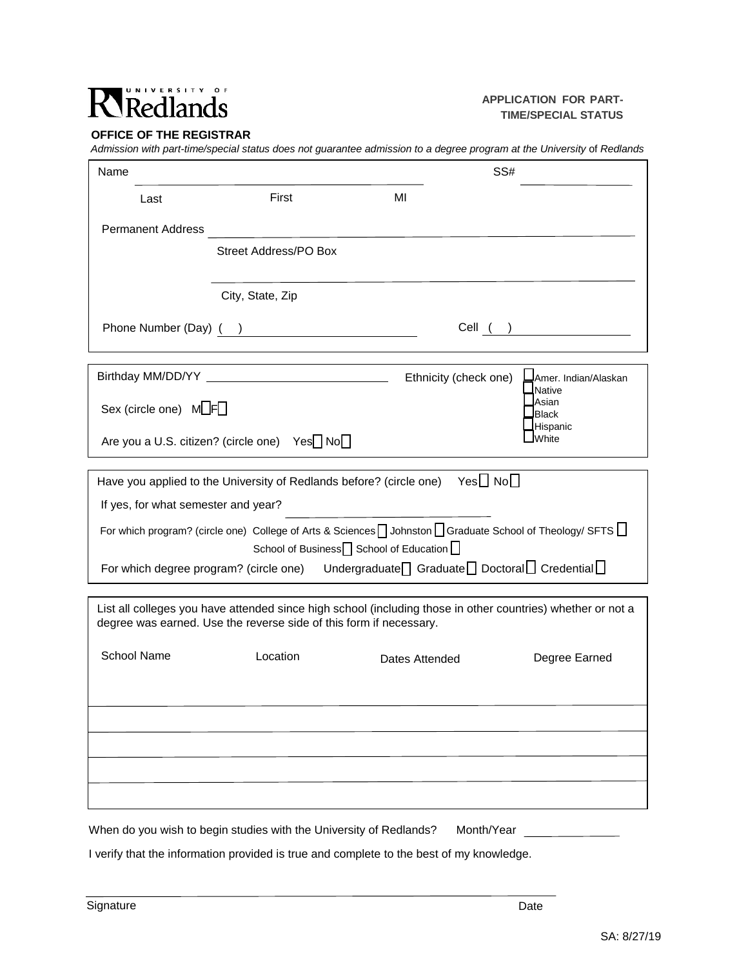## Ricdlands

## **APPLICATION FOR PART-TIME/SPECIAL STATUS**

## **OFFICE OF THE REGISTRAR**

*Admission with part-time/special status does not guarantee admission to a degree program at the University* of *Redlands*

| Last                                                                                                                                                                              |                              |    |                       |                                          |  |
|-----------------------------------------------------------------------------------------------------------------------------------------------------------------------------------|------------------------------|----|-----------------------|------------------------------------------|--|
|                                                                                                                                                                                   | First                        | MI |                       |                                          |  |
| <b>Permanent Address</b>                                                                                                                                                          |                              |    |                       |                                          |  |
|                                                                                                                                                                                   | <b>Street Address/PO Box</b> |    |                       |                                          |  |
|                                                                                                                                                                                   |                              |    |                       |                                          |  |
|                                                                                                                                                                                   | City, State, Zip             |    |                       |                                          |  |
| Phone Number (Day) ( )                                                                                                                                                            |                              |    |                       | Cell ( )                                 |  |
|                                                                                                                                                                                   |                              |    |                       |                                          |  |
|                                                                                                                                                                                   |                              |    | Ethnicity (check one) | <b>∟J</b> Amer. Indian/Alaskan<br>Native |  |
| Asian<br>Sex (circle one) $M \Box F \Box$<br><b>Black</b>                                                                                                                         |                              |    |                       |                                          |  |
| Hispanic<br><b>White</b><br>Are you a U.S. citizen? (circle one) Yes <sup>1</sup> No                                                                                              |                              |    |                       |                                          |  |
|                                                                                                                                                                                   |                              |    |                       |                                          |  |
| Have you applied to the University of Redlands before? (circle one) Yes $\Box$ No $\Box$                                                                                          |                              |    |                       |                                          |  |
| If yes, for what semester and year?                                                                                                                                               |                              |    |                       |                                          |  |
| For which program? (circle one) College of Arts & Sciences   Johnston   Graduate School of Theology/ SFTS  <br>School of Business <sup>1</sup> School of Education <sup>1</sup>   |                              |    |                       |                                          |  |
| For which degree program? (circle one) Undergraduate <sup>1</sup> Graduate <sup>1</sup> Doctoral <sup>1</sup> Credential <sup>1</sup>                                             |                              |    |                       |                                          |  |
| List all colleges you have attended since high school (including those in other countries) whether or not a<br>degree was earned. Use the reverse side of this form if necessary. |                              |    |                       |                                          |  |
| <b>School Name</b>                                                                                                                                                                | Location                     |    | Dates Attended        | Degree Earned                            |  |
|                                                                                                                                                                                   |                              |    |                       |                                          |  |
|                                                                                                                                                                                   |                              |    |                       |                                          |  |
|                                                                                                                                                                                   |                              |    |                       |                                          |  |
|                                                                                                                                                                                   |                              |    |                       |                                          |  |
|                                                                                                                                                                                   |                              |    |                       |                                          |  |
| When do you wish to begin studies with the University of Redlands?                                                                                                                |                              |    | Month/Year            |                                          |  |

I verify that the information provided is true and complete to the best of my knowledge.